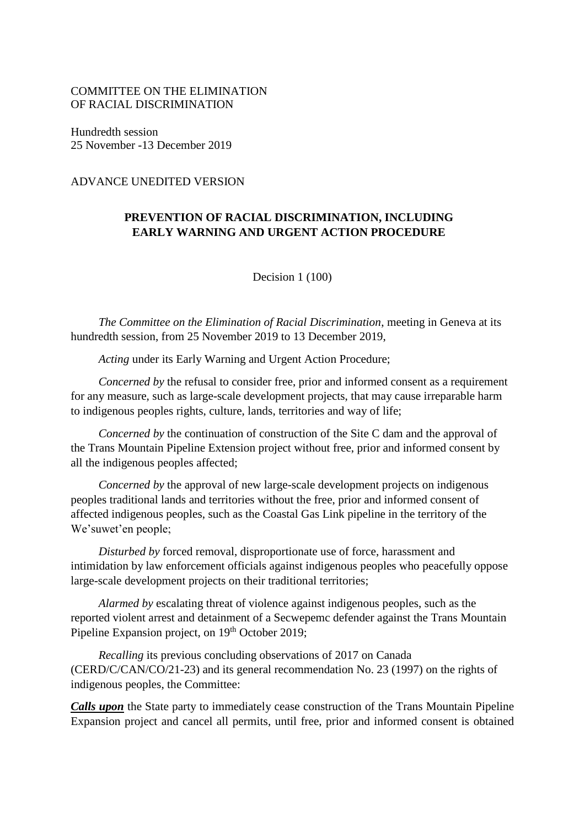## COMMITTEE ON THE ELIMINATION OF RACIAL DISCRIMINATION

Hundredth session 25 November -13 December 2019

## ADVANCE UNEDITED VERSION

## **PREVENTION OF RACIAL DISCRIMINATION, INCLUDING EARLY WARNING AND URGENT ACTION PROCEDURE**

Decision 1 (100)

*The Committee on the Elimination of Racial Discrimination*, meeting in Geneva at its hundredth session, from 25 November 2019 to 13 December 2019,

*Acting* under its Early Warning and Urgent Action Procedure;

*Concerned by* the refusal to consider free, prior and informed consent as a requirement for any measure, such as large-scale development projects, that may cause irreparable harm to indigenous peoples rights, culture, lands, territories and way of life;

*Concerned by* the continuation of construction of the Site C dam and the approval of the Trans Mountain Pipeline Extension project without free, prior and informed consent by all the indigenous peoples affected;

*Concerned by* the approval of new large-scale development projects on indigenous peoples traditional lands and territories without the free, prior and informed consent of affected indigenous peoples, such as the Coastal Gas Link pipeline in the territory of the We'suwet'en people;

*Disturbed by* forced removal, disproportionate use of force, harassment and intimidation by law enforcement officials against indigenous peoples who peacefully oppose large-scale development projects on their traditional territories;

*Alarmed by* escalating threat of violence against indigenous peoples, such as the reported violent arrest and detainment of a Secwepemc defender against the Trans Mountain Pipeline Expansion project, on 19<sup>th</sup> October 2019;

*Recalling* its previous concluding observations of 2017 on Canada (CERD/C/CAN/CO/21-23) and its general recommendation No. 23 (1997) on the rights of indigenous peoples, the Committee:

*Calls upon* the State party to immediately cease construction of the Trans Mountain Pipeline Expansion project and cancel all permits, until free, prior and informed consent is obtained